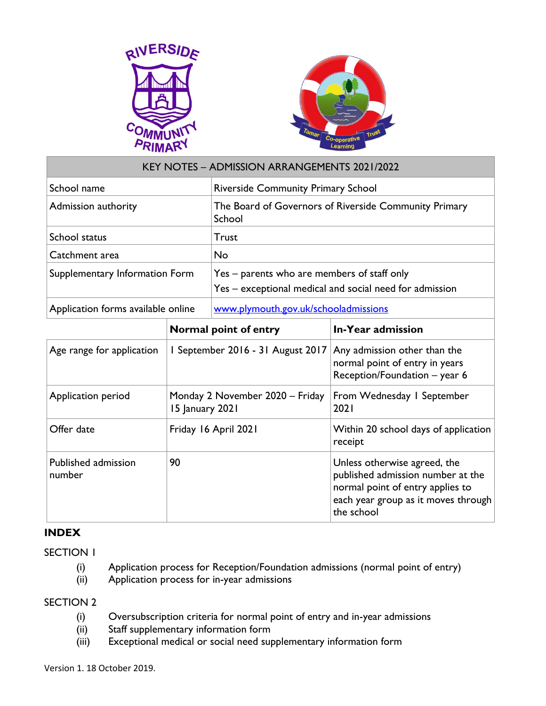



| KEY NOTES - ADMISSION ARRANGEMENTS 2021/2022 |                                                                                                        |  |
|----------------------------------------------|--------------------------------------------------------------------------------------------------------|--|
| School name                                  | <b>Riverside Community Primary School</b>                                                              |  |
| Admission authority                          | The Board of Governors of Riverside Community Primary<br>School                                        |  |
| School status                                | <b>Trust</b>                                                                                           |  |
| Catchment area                               | <b>No</b>                                                                                              |  |
| Supplementary Information Form               | Yes – parents who are members of staff only<br>Yes - exceptional medical and social need for admission |  |
| Application forms available online           | www.plymouth.gov.uk/schooladmissions                                                                   |  |

|                               | Normal point of entry                              | In-Year admission                                                                                                                                          |
|-------------------------------|----------------------------------------------------|------------------------------------------------------------------------------------------------------------------------------------------------------------|
| Age range for application     | I September 2016 - 31 August 2017                  | Any admission other than the<br>normal point of entry in years<br>Reception/Foundation - year 6                                                            |
| Application period            | Monday 2 November 2020 - Friday<br>15 January 2021 | From Wednesday I September<br>2021                                                                                                                         |
| Offer date                    | Friday 16 April 2021                               | Within 20 school days of application<br>receipt                                                                                                            |
| Published admission<br>number | 90                                                 | Unless otherwise agreed, the<br>published admission number at the<br>normal point of entry applies to<br>each year group as it moves through<br>the school |

# **INDEX**

SECTION 1

- (i) Application process for Reception/Foundation admissions (normal point of entry)
- (ii) Application process for in-year admissions

# SECTION 2

- (i) Oversubscription criteria for normal point of entry and in-year admissions
- (ii) Staff supplementary information form
- (iii) Exceptional medical or social need supplementary information form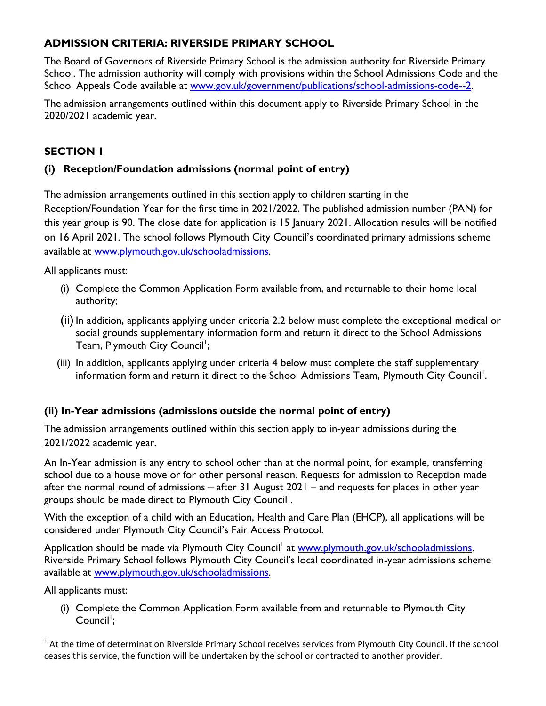# **ADMISSION CRITERIA: RIVERSIDE PRIMARY SCHOOL**

The Board of Governors of Riverside Primary School is the admission authority for Riverside Primary School. The admission authority will comply with provisions within the School Admissions Code and the School Appeals Code available at [www.gov.uk/government/publications/school-admissions-code--2.](http://www.gov.uk/government/publications/school-admissions-code--2)

The admission arrangements outlined within this document apply to Riverside Primary School in the 2020/2021 academic year.

# **SECTION 1**

# **(i) Reception/Foundation admissions (normal point of entry)**

The admission arrangements outlined in this section apply to children starting in the Reception/Foundation Year for the first time in 2021/2022. The published admission number (PAN) for this year group is 90. The close date for application is 15 January 2021. Allocation results will be notified on 16 April 2021. The school follows Plymouth City Council's coordinated primary admissions scheme available at [www.plymouth.gov.uk/schooladmissions.](http://www.plymouth.gov.uk/schooladmissions)

All applicants must:

- (i) Complete the Common Application Form available from, and returnable to their home local authority;
- (ii) In addition, applicants applying under criteria 2.2 below must complete the exceptional medical or social grounds supplementary information form and return it direct to the School Admissions Team, Plymouth City Council<sup>1</sup>;
- (iii) In addition, applicants applying under criteria 4 below must complete the staff supplementary information form and return it direct to the School Admissions Team, Plymouth City Council<sup>1</sup>.

### **(ii) In-Year admissions (admissions outside the normal point of entry)**

The admission arrangements outlined within this section apply to in-year admissions during the 2021/2022 academic year.

An In-Year admission is any entry to school other than at the normal point, for example, transferring school due to a house move or for other personal reason. Requests for admission to Reception made after the normal round of admissions – after 31 August 2021 – and requests for places in other year groups should be made direct to Plymouth City Council<sup>1</sup>.

With the exception of a child with an Education, Health and Care Plan (EHCP), all applications will be considered under Plymouth City Council's Fair Access Protocol.

Application should be made via Plymouth City Council<sup>1</sup> at [www.plymouth.gov.uk/schooladmissions.](http://www.plymouth.gov.uk/schooladmissions) Riverside Primary School follows Plymouth City Council's local coordinated in-year admissions scheme available at www.plymouth.gov.uk/schooladmissions.

All applicants must:

(i) Complete the Common Application Form available from and returnable to Plymouth City Council<sup>1</sup>;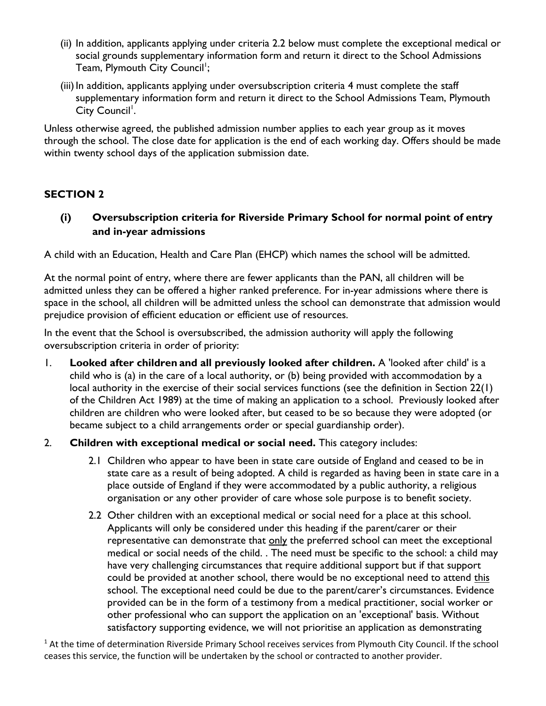- (ii) In addition, applicants applying under criteria 2.2 below must complete the exceptional medical or social grounds supplementary information form and return it direct to the School Admissions Team, Plymouth City Council<sup>1</sup>;
- (iii) In addition, applicants applying under oversubscription criteria 4 must complete the staff supplementary information form and return it direct to the School Admissions Team, Plymouth City Council<sup>'</sup>.

Unless otherwise agreed, the published admission number applies to each year group as it moves through the school. The close date for application is the end of each working day. Offers should be made within twenty school days of the application submission date.

# **SECTION 2**

**(i) Oversubscription criteria for Riverside Primary School for normal point of entry and in-year admissions**

A child with an Education, Health and Care Plan (EHCP) which names the school will be admitted.

At the normal point of entry, where there are fewer applicants than the PAN, all children will be admitted unless they can be offered a higher ranked preference. For in-year admissions where there is space in the school, all children will be admitted unless the school can demonstrate that admission would prejudice provision of efficient education or efficient use of resources.

In the event that the School is oversubscribed, the admission authority will apply the following oversubscription criteria in order of priority:

- 1. **Looked after children and all previously looked after children.** A 'looked after child' is a child who is (a) in the care of a local authority, or (b) being provided with accommodation by a local authority in the exercise of their social services functions (see the definition in Section 22(1) of the Children Act 1989) at the time of making an application to a school. Previously looked after children are children who were looked after, but ceased to be so because they were adopted (or became subject to a child arrangements order or special guardianship order).
- 2. **Children with exceptional medical or social need.** This category includes:
	- 2.1 Children who appear to have been in state care outside of England and ceased to be in state care as a result of being adopted. A child is regarded as having been in state care in a place outside of England if they were accommodated by a public authority, a religious organisation or any other provider of care whose sole purpose is to benefit society.
	- 2.2 Other children with an exceptional medical or social need for a place at this school. Applicants will only be considered under this heading if the parent/carer or their representative can demonstrate that only the preferred school can meet the exceptional medical or social needs of the child. . The need must be specific to the school: a child may have very challenging circumstances that require additional support but if that support could be provided at another school, there would be no exceptional need to attend this school. The exceptional need could be due to the parent/carer's circumstances. Evidence provided can be in the form of a testimony from a medical practitioner, social worker or other professional who can support the application on an 'exceptional' basis. Without satisfactory supporting evidence, we will not prioritise an application as demonstrating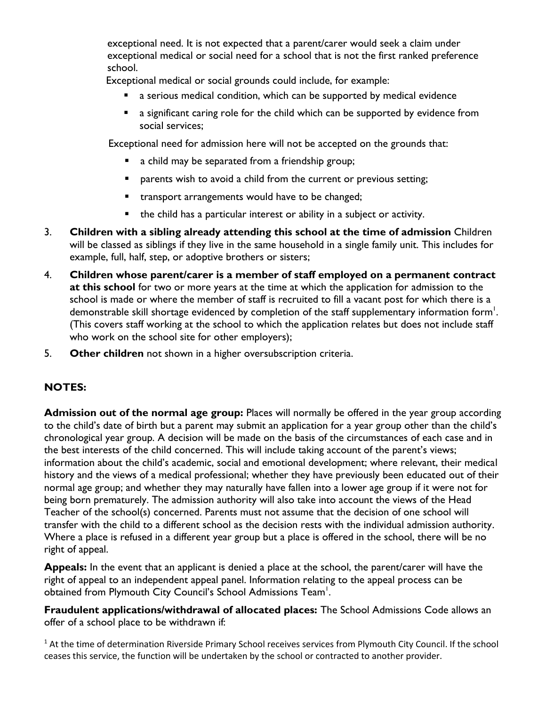exceptional need. It is not expected that a parent/carer would seek a claim under exceptional medical or social need for a school that is not the first ranked preference school.

Exceptional medical or social grounds could include, for example:

- a serious medical condition, which can be supported by medical evidence
- **a** a significant caring role for the child which can be supported by evidence from social services;

Exceptional need for admission here will not be accepted on the grounds that:

- a child may be separated from a friendship group;
- **P** parents wish to avoid a child from the current or previous setting;
- **EXECT** transport arrangements would have to be changed;
- $\blacksquare$  the child has a particular interest or ability in a subject or activity.
- 3. **Children with a sibling already attending this school at the time of admission** Children will be classed as siblings if they live in the same household in a single family unit. This includes for example, full, half, step, or adoptive brothers or sisters;
- 4. **Children whose parent/carer is a member of staff employed on a permanent contract at this school** for two or more years at the time at which the application for admission to the school is made or where the member of staff is recruited to fill a vacant post for which there is a demonstrable skill shortage evidenced by completion of the staff supplementary information form<sup>1</sup>. (This covers staff working at the school to which the application relates but does not include staff who work on the school site for other employers);
- 5. **Other children** not shown in a higher oversubscription criteria.

# **NOTES:**

**Admission out of the normal age group:** Places will normally be offered in the year group according to the child's date of birth but a parent may submit an application for a year group other than the child's chronological year group. A decision will be made on the basis of the circumstances of each case and in the best interests of the child concerned. This will include taking account of the parent's views; information about the child's academic, social and emotional development; where relevant, their medical history and the views of a medical professional; whether they have previously been educated out of their normal age group; and whether they may naturally have fallen into a lower age group if it were not for being born prematurely. The admission authority will also take into account the views of the Head Teacher of the school(s) concerned. Parents must not assume that the decision of one school will transfer with the child to a different school as the decision rests with the individual admission authority. Where a place is refused in a different year group but a place is offered in the school, there will be no right of appeal.

**Appeals:** In the event that an applicant is denied a place at the school, the parent/carer will have the right of appeal to an independent appeal panel. Information relating to the appeal process can be obtained from Plymouth City Council's School Admissions Team<sup>1</sup>.

**Fraudulent applications/withdrawal of allocated places:** The School Admissions Code allows an offer of a school place to be withdrawn if: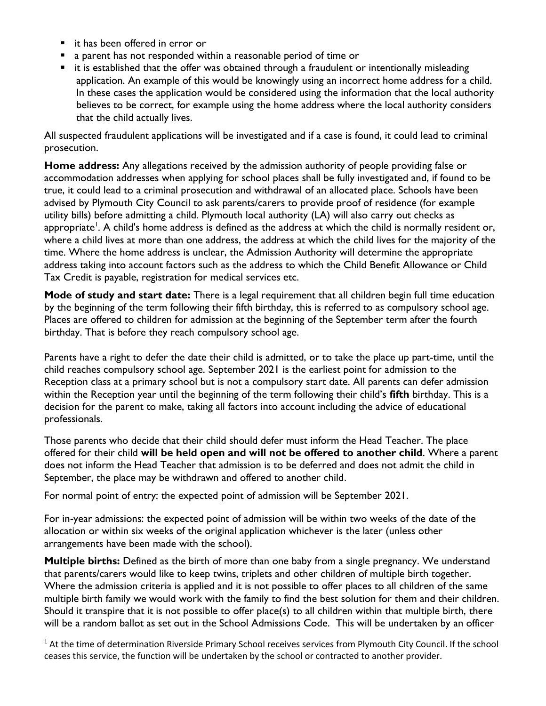- it has been offered in error or
- a parent has not responded within a reasonable period of time or
- it is established that the offer was obtained through a fraudulent or intentionally misleading application. An example of this would be knowingly using an incorrect home address for a child. In these cases the application would be considered using the information that the local authority believes to be correct, for example using the home address where the local authority considers that the child actually lives.

All suspected fraudulent applications will be investigated and if a case is found, it could lead to criminal prosecution.

**Home address:** Any allegations received by the admission authority of people providing false or accommodation addresses when applying for school places shall be fully investigated and, if found to be true, it could lead to a criminal prosecution and withdrawal of an allocated place. Schools have been advised by Plymouth City Council to ask parents/carers to provide proof of residence (for example utility bills) before admitting a child. Plymouth local authority (LA) will also carry out checks as appropriate<sup>!</sup>. A child's home address is defined as the address at which the child is normally resident or, where a child lives at more than one address, the address at which the child lives for the majority of the time. Where the home address is unclear, the Admission Authority will determine the appropriate address taking into account factors such as the address to which the Child Benefit Allowance or Child Tax Credit is payable, registration for medical services etc.

**Mode of study and start date:** There is a legal requirement that all children begin full time education by the beginning of the term following their fifth birthday, this is referred to as compulsory school age. Places are offered to children for admission at the beginning of the September term after the fourth birthday. That is before they reach compulsory school age.

Parents have a right to defer the date their child is admitted, or to take the place up part-time, until the child reaches compulsory school age. September 2021 is the earliest point for admission to the Reception class at a primary school but is not a compulsory start date. All parents can defer admission within the Reception year until the beginning of the term following their child's **fifth** birthday. This is a decision for the parent to make, taking all factors into account including the advice of educational professionals.

Those parents who decide that their child should defer must inform the Head Teacher. The place offered for their child **will be held open and will not be offered to another child**. Where a parent does not inform the Head Teacher that admission is to be deferred and does not admit the child in September, the place may be withdrawn and offered to another child.

For normal point of entry: the expected point of admission will be September 2021.

For in-year admissions: the expected point of admission will be within two weeks of the date of the allocation or within six weeks of the original application whichever is the later (unless other arrangements have been made with the school).

**Multiple births:** Defined as the birth of more than one baby from a single pregnancy. We understand that parents/carers would like to keep twins, triplets and other children of multiple birth together. Where the admission criteria is applied and it is not possible to offer places to all children of the same multiple birth family we would work with the family to find the best solution for them and their children. Should it transpire that it is not possible to offer place(s) to all children within that multiple birth, there will be a random ballot as set out in the School Admissions Code. This will be undertaken by an officer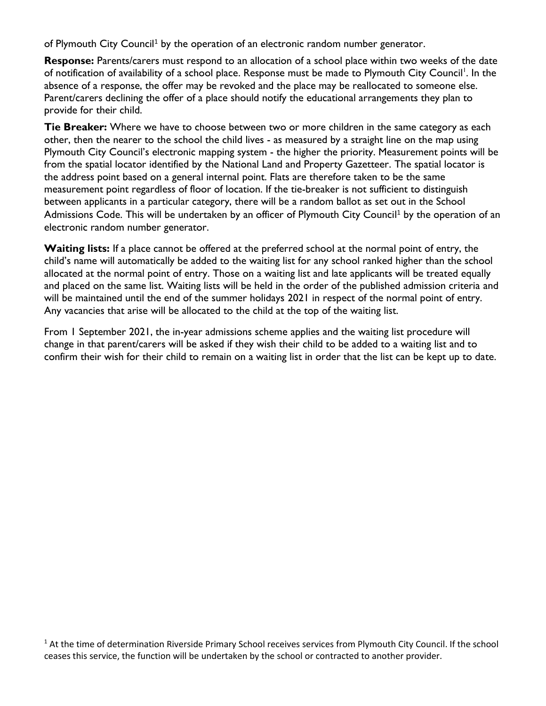of Plymouth City Council<sup>1</sup> by the operation of an electronic random number generator.

**Response:** Parents/carers must respond to an allocation of a school place within two weeks of the date of notification of availability of a school place. Response must be made to Plymouth City Council<sup>1</sup>. In the absence of a response, the offer may be revoked and the place may be reallocated to someone else. Parent/carers declining the offer of a place should notify the educational arrangements they plan to provide for their child.

**Tie Breaker:** Where we have to choose between two or more children in the same category as each other, then the nearer to the school the child lives - as measured by a straight line on the map using Plymouth City Council's electronic mapping system - the higher the priority. Measurement points will be from the spatial locator identified by the National Land and Property Gazetteer. The spatial locator is the address point based on a general internal point. Flats are therefore taken to be the same measurement point regardless of floor of location. If the tie-breaker is not sufficient to distinguish between applicants in a particular category, there will be a random ballot as set out in the School Admissions Code. This will be undertaken by an officer of Plymouth City Council<sup>1</sup> by the operation of an electronic random number generator.

**Waiting lists:** If a place cannot be offered at the preferred school at the normal point of entry, the child's name will automatically be added to the waiting list for any school ranked higher than the school allocated at the normal point of entry. Those on a waiting list and late applicants will be treated equally and placed on the same list. Waiting lists will be held in the order of the published admission criteria and will be maintained until the end of the summer holidays 2021 in respect of the normal point of entry. Any vacancies that arise will be allocated to the child at the top of the waiting list.

From 1 September 2021, the in-year admissions scheme applies and the waiting list procedure will change in that parent/carers will be asked if they wish their child to be added to a waiting list and to confirm their wish for their child to remain on a waiting list in order that the list can be kept up to date.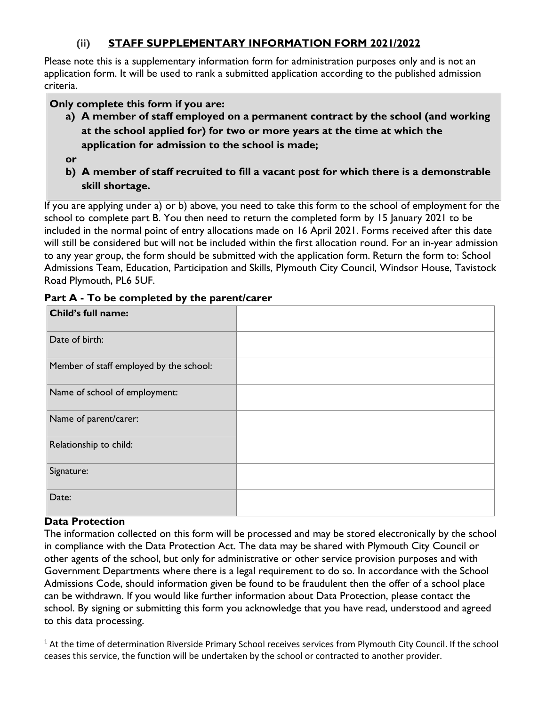# **(ii) STAFF SUPPLEMENTARY INFORMATION FORM 2021/2022**

Please note this is a supplementary information form for administration purposes only and is not an application form. It will be used to rank a submitted application according to the published admission criteria.

## **Only complete this form if you are:**

- **a) A member of staff employed on a permanent contract by the school (and working at the school applied for) for two or more years at the time at which the application for admission to the school is made;**
- **or**
- **b) A member of staff recruited to fill a vacant post for which there is a demonstrable skill shortage.**

If you are applying under a) or b) above, you need to take this form to the school of employment for the school to complete part B. You then need to return the completed form by 15 January 2021 to be included in the normal point of entry allocations made on 16 April 2021. Forms received after this date will still be considered but will not be included within the first allocation round. For an in-year admission to any year group, the form should be submitted with the application form. Return the form to: School Admissions Team, Education, Participation and Skills, Plymouth City Council, Windsor House, Tavistock Road Plymouth, PL6 5UF.

| Child's full name:                      |  |
|-----------------------------------------|--|
| Date of birth:                          |  |
| Member of staff employed by the school: |  |
| Name of school of employment:           |  |
| Name of parent/carer:                   |  |
| Relationship to child:                  |  |
| Signature:                              |  |
| Date:                                   |  |

### **Part A - To be completed by the parent/carer**

### **Data Protection**

The information collected on this form will be processed and may be stored electronically by the school in compliance with the Data Protection Act. The data may be shared with Plymouth City Council or other agents of the school, but only for administrative or other service provision purposes and with Government Departments where there is a legal requirement to do so. In accordance with the School Admissions Code, should information given be found to be fraudulent then the offer of a school place can be withdrawn. If you would like further information about Data Protection, please contact the school. By signing or submitting this form you acknowledge that you have read, understood and agreed to this data processing.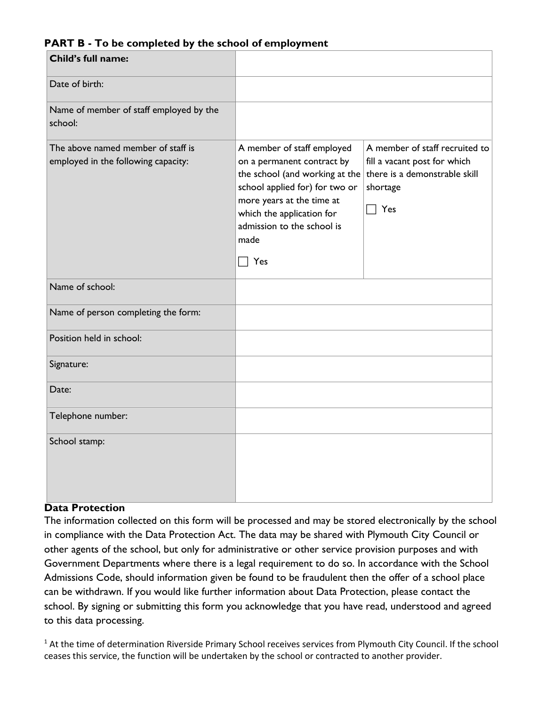### **PART B - To be completed by the school of employment**

| Child's full name:                                                        |                                                                                                                                                                                                                                            |                                                                                                                           |
|---------------------------------------------------------------------------|--------------------------------------------------------------------------------------------------------------------------------------------------------------------------------------------------------------------------------------------|---------------------------------------------------------------------------------------------------------------------------|
| Date of birth:                                                            |                                                                                                                                                                                                                                            |                                                                                                                           |
| Name of member of staff employed by the<br>school:                        |                                                                                                                                                                                                                                            |                                                                                                                           |
| The above named member of staff is<br>employed in the following capacity: | A member of staff employed<br>on a permanent contract by<br>the school (and working at the<br>school applied for) for two or<br>more years at the time at<br>which the application for<br>admission to the school is<br>made<br>$\Box$ Yes | A member of staff recruited to<br>fill a vacant post for which<br>there is a demonstrable skill<br>shortage<br>$\top$ Yes |
| Name of school:                                                           |                                                                                                                                                                                                                                            |                                                                                                                           |
| Name of person completing the form:                                       |                                                                                                                                                                                                                                            |                                                                                                                           |
| Position held in school:                                                  |                                                                                                                                                                                                                                            |                                                                                                                           |
| Signature:                                                                |                                                                                                                                                                                                                                            |                                                                                                                           |
| Date:                                                                     |                                                                                                                                                                                                                                            |                                                                                                                           |
| Telephone number:                                                         |                                                                                                                                                                                                                                            |                                                                                                                           |
| School stamp:                                                             |                                                                                                                                                                                                                                            |                                                                                                                           |

### **Data Protection**

The information collected on this form will be processed and may be stored electronically by the school in compliance with the Data Protection Act. The data may be shared with Plymouth City Council or other agents of the school, but only for administrative or other service provision purposes and with Government Departments where there is a legal requirement to do so. In accordance with the School Admissions Code, should information given be found to be fraudulent then the offer of a school place can be withdrawn. If you would like further information about Data Protection, please contact the school. By signing or submitting this form you acknowledge that you have read, understood and agreed to this data processing.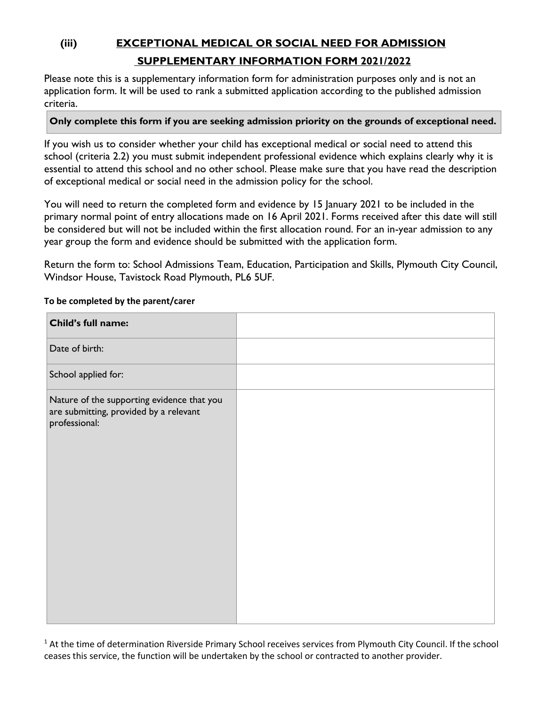# **(iii) EXCEPTIONAL MEDICAL OR SOCIAL NEED FOR ADMISSION SUPPLEMENTARY INFORMATION FORM 2021/2022**

Please note this is a supplementary information form for administration purposes only and is not an application form. It will be used to rank a submitted application according to the published admission criteria.

### **Only complete this form if you are seeking admission priority on the grounds of exceptional need.**

If you wish us to consider whether your child has exceptional medical or social need to attend this school (criteria 2.2) you must submit independent professional evidence which explains clearly why it is essential to attend this school and no other school. Please make sure that you have read the description of exceptional medical or social need in the admission policy for the school.

You will need to return the completed form and evidence by 15 January 2021 to be included in the primary normal point of entry allocations made on 16 April 2021. Forms received after this date will still be considered but will not be included within the first allocation round. For an in-year admission to any year group the form and evidence should be submitted with the application form.

Return the form to: School Admissions Team, Education, Participation and Skills, Plymouth City Council, Windsor House, Tavistock Road Plymouth, PL6 5UF.

| <b>Child's full name:</b>                                                                             |  |
|-------------------------------------------------------------------------------------------------------|--|
| Date of birth:                                                                                        |  |
| School applied for:                                                                                   |  |
| Nature of the supporting evidence that you<br>are submitting, provided by a relevant<br>professional: |  |
|                                                                                                       |  |

### **To be completed by the parent/carer**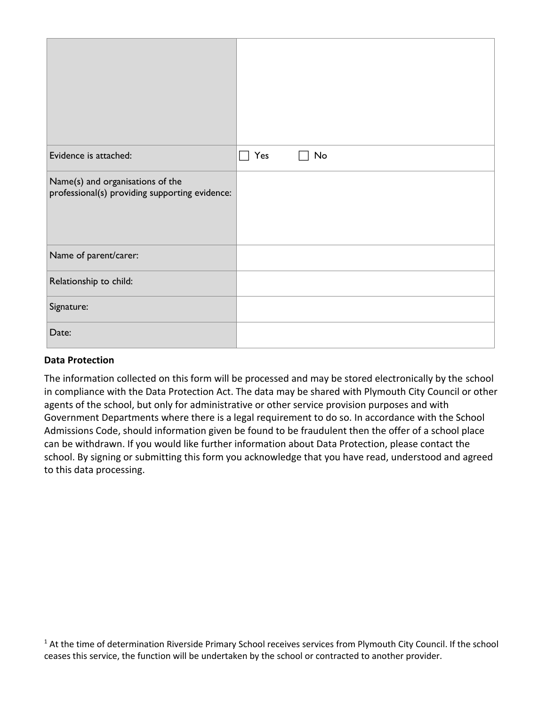| Evidence is attached:                                                              | Yes<br>No |
|------------------------------------------------------------------------------------|-----------|
| Name(s) and organisations of the<br>professional(s) providing supporting evidence: |           |
| Name of parent/carer:                                                              |           |
| Relationship to child:                                                             |           |
| Signature:                                                                         |           |
| Date:                                                                              |           |

### **Data Protection**

The information collected on this form will be processed and may be stored electronically by the school in compliance with the Data Protection Act. The data may be shared with Plymouth City Council or other agents of the school, but only for administrative or other service provision purposes and with Government Departments where there is a legal requirement to do so. In accordance with the School Admissions Code, should information given be found to be fraudulent then the offer of a school place can be withdrawn. If you would like further information about Data Protection, please contact the school. By signing or submitting this form you acknowledge that you have read, understood and agreed to this data processing.